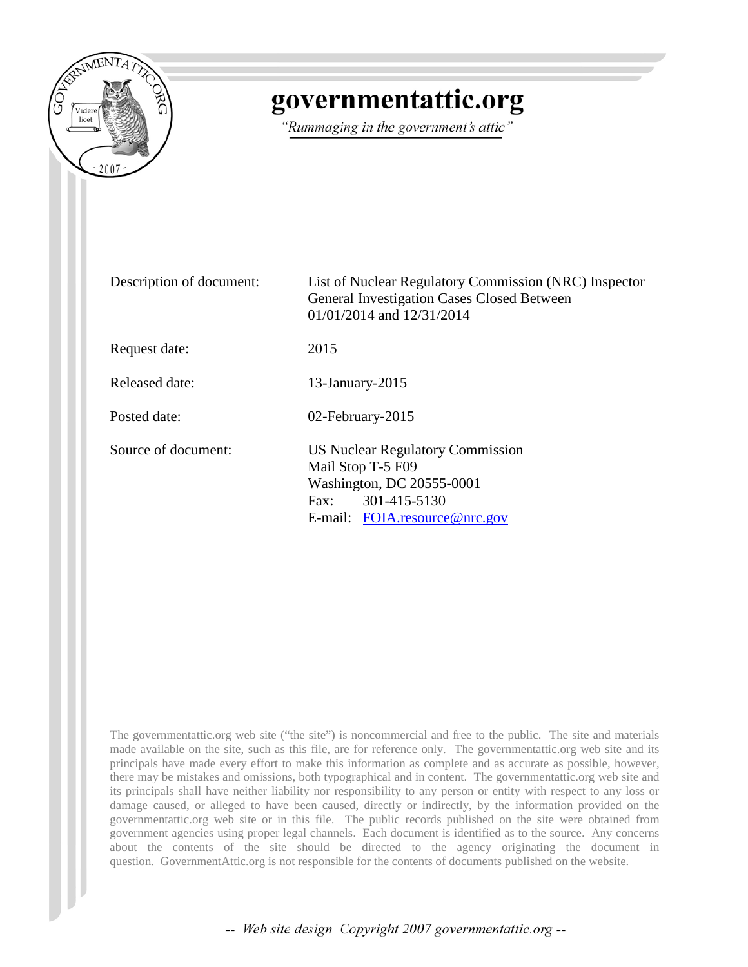

## governmentattic.org

"Rummaging in the government's attic"

| Description of document: | List of Nuclear Regulatory Commission (NRC) Inspector<br>General Investigation Cases Closed Between<br>$01/01/2014$ and $12/31/2014$                           |
|--------------------------|----------------------------------------------------------------------------------------------------------------------------------------------------------------|
| Request date:            | 2015                                                                                                                                                           |
| Released date:           | 13-January-2015                                                                                                                                                |
| Posted date:             | 02-February-2015                                                                                                                                               |
| Source of document:      | <b>US Nuclear Regulatory Commission</b><br>Mail Stop T-5 F09<br>Washington, DC 20555-0001<br>301-415-5130<br>$\text{Fax}:$<br>E-mail: $FOIA$ resource @nrc.gov |

The governmentattic.org web site ("the site") is noncommercial and free to the public. The site and materials made available on the site, such as this file, are for reference only. The governmentattic.org web site and its principals have made every effort to make this information as complete and as accurate as possible, however, there may be mistakes and omissions, both typographical and in content. The governmentattic.org web site and its principals shall have neither liability nor responsibility to any person or entity with respect to any loss or damage caused, or alleged to have been caused, directly or indirectly, by the information provided on the governmentattic.org web site or in this file. The public records published on the site were obtained from government agencies using proper legal channels. Each document is identified as to the source. Any concerns about the contents of the site should be directed to the agency originating the document in question. GovernmentAttic.org is not responsible for the contents of documents published on the website.

-- Web site design Copyright 2007 governmentattic.org --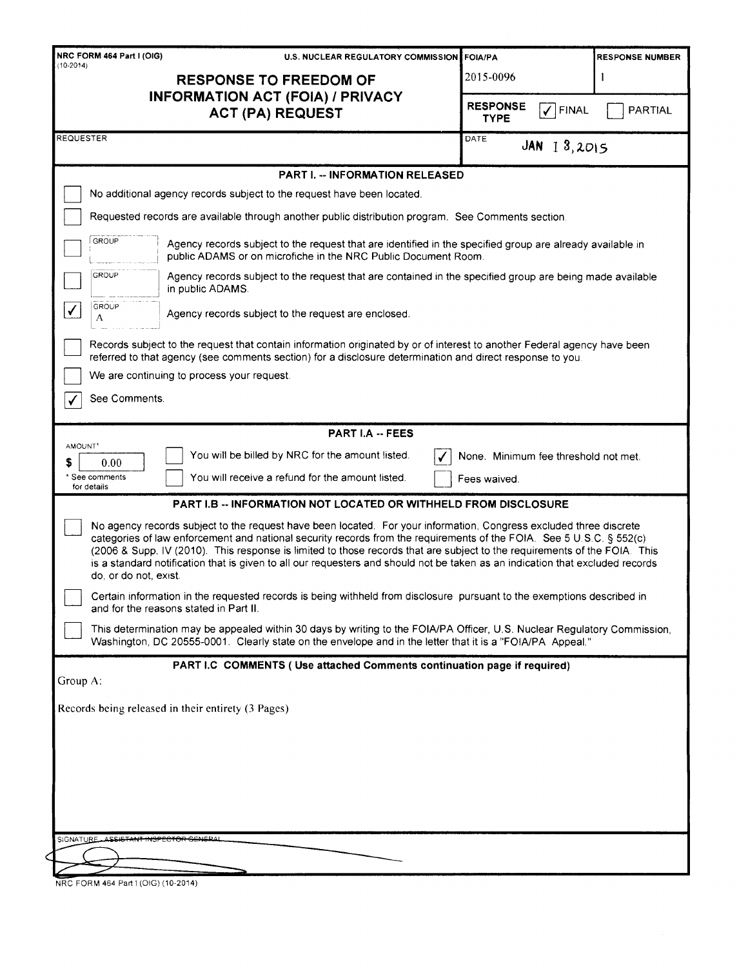| NRC FORM 464 Part I (OIG)                                                                                                                                                                                                                                                                                                                                                                                                                                                                                                         | <b>U.S. NUCLEAR REGULATORY COMMISSION</b><br><b>FOIA/PA</b><br><b>RESPONSE NUMBER</b>                                                                                                                                                 |                                                      |                |  |
|-----------------------------------------------------------------------------------------------------------------------------------------------------------------------------------------------------------------------------------------------------------------------------------------------------------------------------------------------------------------------------------------------------------------------------------------------------------------------------------------------------------------------------------|---------------------------------------------------------------------------------------------------------------------------------------------------------------------------------------------------------------------------------------|------------------------------------------------------|----------------|--|
| $(10-2014)$<br><b>RESPONSE TO FREEDOM OF</b><br><b>INFORMATION ACT (FOIA) / PRIVACY</b><br><b>ACT (PA) REQUEST</b>                                                                                                                                                                                                                                                                                                                                                                                                                |                                                                                                                                                                                                                                       | 2015-0096                                            |                |  |
|                                                                                                                                                                                                                                                                                                                                                                                                                                                                                                                                   |                                                                                                                                                                                                                                       | <b>RESPONSE</b><br>$\checkmark$ FINAL<br><b>TYPE</b> | <b>PARTIAL</b> |  |
| REQUESTER                                                                                                                                                                                                                                                                                                                                                                                                                                                                                                                         | DATE<br>$JAN$ $13,2015$                                                                                                                                                                                                               |                                                      |                |  |
|                                                                                                                                                                                                                                                                                                                                                                                                                                                                                                                                   | <b>PART I. -- INFORMATION RELEASED</b>                                                                                                                                                                                                |                                                      |                |  |
|                                                                                                                                                                                                                                                                                                                                                                                                                                                                                                                                   | No additional agency records subject to the request have been located.                                                                                                                                                                |                                                      |                |  |
|                                                                                                                                                                                                                                                                                                                                                                                                                                                                                                                                   | Requested records are available through another public distribution program. See Comments section.                                                                                                                                    |                                                      |                |  |
| <b>GROUP</b>                                                                                                                                                                                                                                                                                                                                                                                                                                                                                                                      | Agency records subject to the request that are identified in the specified group are already available in<br>public ADAMS or on microfiche in the NRC Public Document Room.                                                           |                                                      |                |  |
| GROUP                                                                                                                                                                                                                                                                                                                                                                                                                                                                                                                             | Agency records subject to the request that are contained in the specified group are being made available<br>in public ADAMS.                                                                                                          |                                                      |                |  |
| <b>GROUP</b><br>√<br>А                                                                                                                                                                                                                                                                                                                                                                                                                                                                                                            | Agency records subject to the request are enclosed.                                                                                                                                                                                   |                                                      |                |  |
|                                                                                                                                                                                                                                                                                                                                                                                                                                                                                                                                   | Records subject to the request that contain information originated by or of interest to another Federal agency have been<br>referred to that agency (see comments section) for a disclosure determination and direct response to you. |                                                      |                |  |
|                                                                                                                                                                                                                                                                                                                                                                                                                                                                                                                                   | We are continuing to process your request.                                                                                                                                                                                            |                                                      |                |  |
| See Comments.                                                                                                                                                                                                                                                                                                                                                                                                                                                                                                                     |                                                                                                                                                                                                                                       |                                                      |                |  |
|                                                                                                                                                                                                                                                                                                                                                                                                                                                                                                                                   | <b>PART I.A -- FEES</b>                                                                                                                                                                                                               |                                                      |                |  |
| AMOUNT*<br>S<br>0.00                                                                                                                                                                                                                                                                                                                                                                                                                                                                                                              | You will be billed by NRC for the amount listed.                                                                                                                                                                                      | None. Minimum fee threshold not met.                 |                |  |
| * See comments<br>for details                                                                                                                                                                                                                                                                                                                                                                                                                                                                                                     | You will receive a refund for the amount listed.                                                                                                                                                                                      | Fees waived.                                         |                |  |
|                                                                                                                                                                                                                                                                                                                                                                                                                                                                                                                                   | <b>PART I.B -- INFORMATION NOT LOCATED OR WITHHELD FROM DISCLOSURE</b>                                                                                                                                                                |                                                      |                |  |
| No agency records subject to the request have been located. For your information, Congress excluded three discrete<br>categories of law enforcement and national security records from the requirements of the FOIA. See 5 U.S.C. § 552(c)<br>(2006 & Supp. IV (2010). This response is limited to those records that are subject to the requirements of the FOIA. This<br>is a standard notification that is given to all our requesters and should not be taken as an indication that excluded records<br>do, or do not, exist. |                                                                                                                                                                                                                                       |                                                      |                |  |
|                                                                                                                                                                                                                                                                                                                                                                                                                                                                                                                                   | Certain information in the requested records is being withheld from disclosure pursuant to the exemptions described in<br>and for the reasons stated in Part II.                                                                      |                                                      |                |  |
| This determination may be appealed within 30 days by writing to the FOIA/PA Officer, U.S. Nuclear Regulatory Commission,<br>Washington, DC 20555-0001. Clearly state on the envelope and in the letter that it is a "FOIA/PA Appeal."                                                                                                                                                                                                                                                                                             |                                                                                                                                                                                                                                       |                                                      |                |  |
|                                                                                                                                                                                                                                                                                                                                                                                                                                                                                                                                   | PART I.C COMMENTS (Use attached Comments continuation page if required)                                                                                                                                                               |                                                      |                |  |
| Group $A$ :                                                                                                                                                                                                                                                                                                                                                                                                                                                                                                                       |                                                                                                                                                                                                                                       |                                                      |                |  |
| Records being released in their entirety (3 Pages)                                                                                                                                                                                                                                                                                                                                                                                                                                                                                |                                                                                                                                                                                                                                       |                                                      |                |  |
|                                                                                                                                                                                                                                                                                                                                                                                                                                                                                                                                   |                                                                                                                                                                                                                                       |                                                      |                |  |
|                                                                                                                                                                                                                                                                                                                                                                                                                                                                                                                                   |                                                                                                                                                                                                                                       |                                                      |                |  |
|                                                                                                                                                                                                                                                                                                                                                                                                                                                                                                                                   |                                                                                                                                                                                                                                       |                                                      |                |  |
|                                                                                                                                                                                                                                                                                                                                                                                                                                                                                                                                   |                                                                                                                                                                                                                                       |                                                      |                |  |
| SIGNATURE ASSISTANT INSPECTOR GENERAL                                                                                                                                                                                                                                                                                                                                                                                                                                                                                             |                                                                                                                                                                                                                                       |                                                      |                |  |
|                                                                                                                                                                                                                                                                                                                                                                                                                                                                                                                                   |                                                                                                                                                                                                                                       |                                                      |                |  |

NRC FORM 464 Part I (OIG) (10-2014)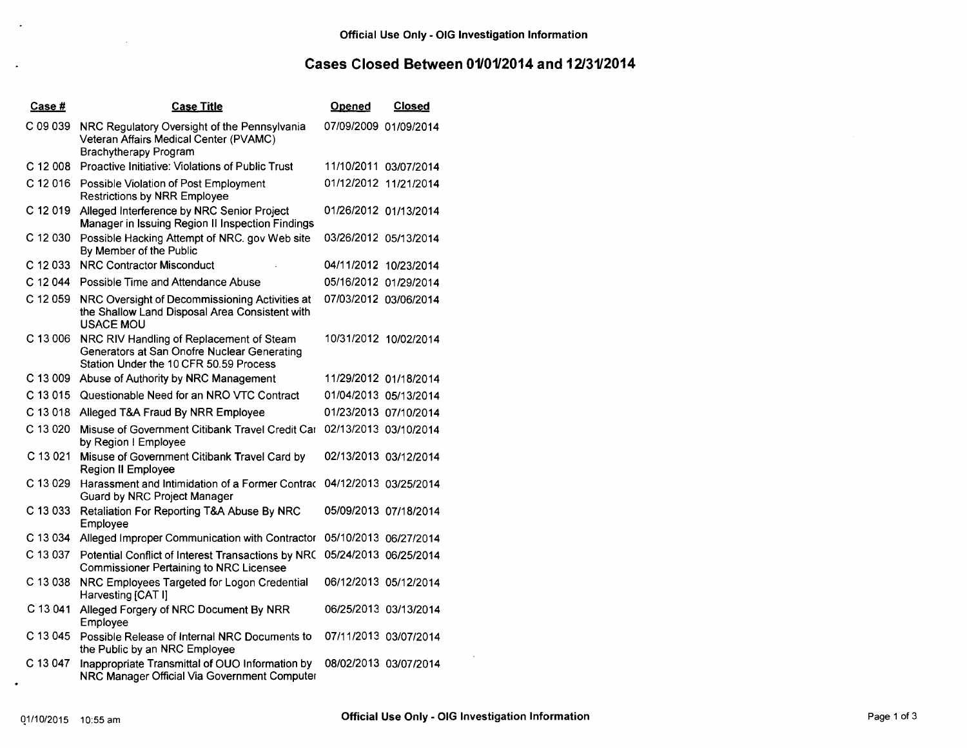## **Cases Closed Between 0110112014 and 12/3112014**

| Case #     | <b>Case Title</b>                                                                                                                 | <u>Opened</u>         | <b>Closed</b>         |
|------------|-----------------------------------------------------------------------------------------------------------------------------------|-----------------------|-----------------------|
| C 09 039   | NRC Regulatory Oversight of the Pennsylvania<br>Veteran Affairs Medical Center (PVAMC)<br><b>Brachytherapy Program</b>            | 07/09/2009 01/09/2014 |                       |
| $C$ 12 008 | Proactive Initiative: Violations of Public Trust                                                                                  |                       | 11/10/2011 03/07/2014 |
| C 12 016   | Possible Violation of Post Employment<br><b>Restrictions by NRR Employee</b>                                                      |                       | 01/12/2012 11/21/2014 |
| C 12 019   | Alleged Interference by NRC Senior Project<br>Manager in Issuing Region II Inspection Findings                                    |                       | 01/26/2012 01/13/2014 |
| C 12 030   | Possible Hacking Attempt of NRC. gov Web site<br>By Member of the Public                                                          |                       | 03/26/2012 05/13/2014 |
| C 12 033   | <b>NRC Contractor Misconduct</b>                                                                                                  | 04/11/2012 10/23/2014 |                       |
| C 12 044   | Possible Time and Attendance Abuse                                                                                                |                       | 05/16/2012 01/29/2014 |
| C 12 059   | NRC Oversight of Decommissioning Activities at<br>the Shallow Land Disposal Area Consistent with<br><b>USACE MOU</b>              |                       | 07/03/2012 03/06/2014 |
| C 13 006   | NRC RIV Handling of Replacement of Steam<br>Generators at San Onofre Nuclear Generating<br>Station Under the 10 CFR 50.59 Process |                       | 10/31/2012 10/02/2014 |
|            | C 13 009 Abuse of Authority by NRC Management                                                                                     |                       | 11/29/2012 01/18/2014 |
| C 13 015   | Questionable Need for an NRO VTC Contract                                                                                         |                       | 01/04/2013 05/13/2014 |
| C 13 018   | Alleged T&A Fraud By NRR Employee                                                                                                 |                       | 01/23/2013 07/10/2014 |
| C 13 020   | Misuse of Government Citibank Travel Credit Car<br>by Region I Employee                                                           |                       | 02/13/2013 03/10/2014 |
| C 13 021   | Misuse of Government Citibank Travel Card by<br>Region II Employee                                                                |                       | 02/13/2013 03/12/2014 |
| C 13 029   | Harassment and Intimidation of a Former Contrac<br><b>Guard by NRC Project Manager</b>                                            |                       | 04/12/2013 03/25/2014 |
| C 13 033   | Retaliation For Reporting T&A Abuse By NRC<br>Employee                                                                            |                       | 05/09/2013 07/18/2014 |
| C 13 034   | Alleged Improper Communication with Contractor                                                                                    |                       | 05/10/2013 06/27/2014 |
| C 13 037   | Potential Conflict of Interest Transactions by NRC<br><b>Commissioner Pertaining to NRC Licensee</b>                              |                       | 05/24/2013 06/25/2014 |
| C 13 038   | NRC Employees Targeted for Logon Credential<br>Harvesting [CAT I]                                                                 |                       | 06/12/2013 05/12/2014 |
| C 13 041   | Alleged Forgery of NRC Document By NRR<br>Employee                                                                                |                       | 06/25/2013 03/13/2014 |
| C 13 045   | Possible Release of Internal NRC Documents to<br>the Public by an NRC Employee                                                    |                       | 07/11/2013 03/07/2014 |
| C 13 047   | Inappropriate Transmittal of OUO Information by<br>NRC Manager Official Via Government Computer                                   |                       | 08/02/2013 03/07/2014 |

 $\bullet$ 

 $\sim$ 

 $\sim$ 

 $\sim 10^7$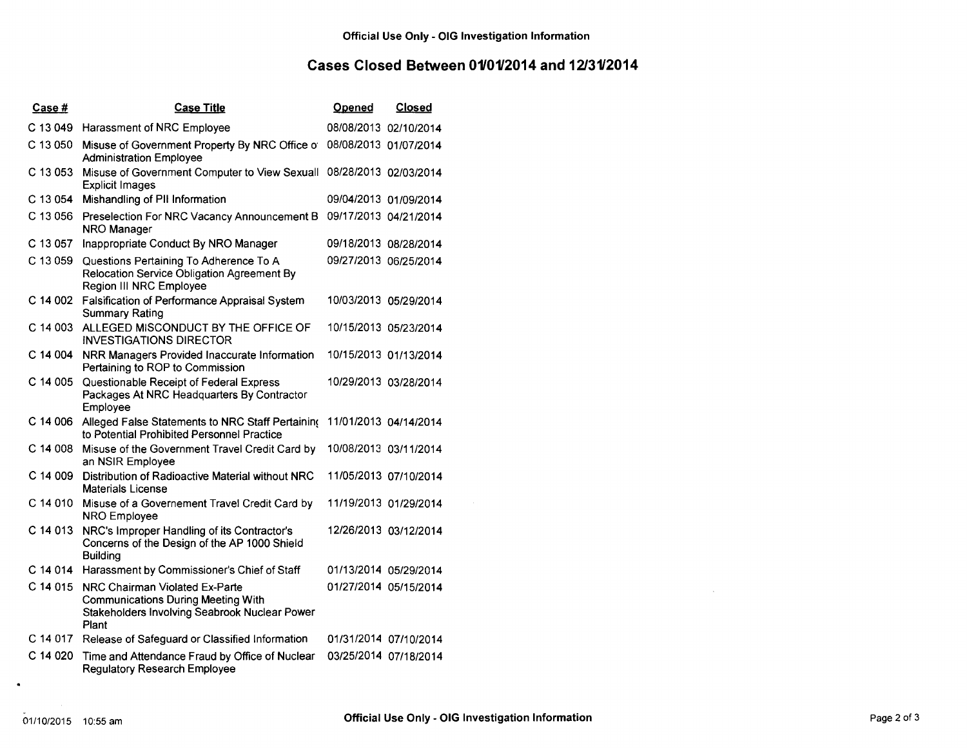## **Cases Closed Between 0110112014 and 12/3112014**

| Case #   | <b>Case Title</b>                                                                                                                     | <b>Opened</b>         | <b>Closed</b>         |
|----------|---------------------------------------------------------------------------------------------------------------------------------------|-----------------------|-----------------------|
| C 13 049 | Harassment of NRC Employee                                                                                                            | 08/08/2013 02/10/2014 |                       |
| C 13 050 | Misuse of Government Property By NRC Office of<br><b>Administration Employee</b>                                                      | 08/08/2013 01/07/2014 |                       |
| C 13 053 | Misuse of Government Computer to View Sexuall<br><b>Explicit Images</b>                                                               | 08/28/2013 02/03/2014 |                       |
| C 13 054 | Mishandling of PII Information                                                                                                        |                       | 09/04/2013 01/09/2014 |
| C 13 056 | Preselection For NRC Vacancy Announcement B<br>NRO Manager                                                                            | 09/17/2013 04/21/2014 |                       |
| C 13 057 | Inappropriate Conduct By NRO Manager                                                                                                  | 09/18/2013 08/28/2014 |                       |
| C 13 059 | Questions Pertaining To Adherence To A<br>Relocation Service Obligation Agreement By<br>Region III NRC Employee                       | 09/27/2013 06/25/2014 |                       |
| C 14 002 | Falsification of Performance Appraisal System<br><b>Summary Rating</b>                                                                |                       | 10/03/2013 05/29/2014 |
| C 14 003 | ALLEGED MISCONDUCT BY THE OFFICE OF<br><b>INVESTIGATIONS DIRECTOR</b>                                                                 |                       | 10/15/2013 05/23/2014 |
| C 14 004 | NRR Managers Provided Inaccurate Information<br>Pertaining to ROP to Commission                                                       |                       | 10/15/2013 01/13/2014 |
| C 14 005 | Questionable Receipt of Federal Express<br>Packages At NRC Headquarters By Contractor<br>Employee                                     |                       | 10/29/2013 03/28/2014 |
| C 14 006 | Alleged False Statements to NRC Staff Pertaining<br>to Potential Prohibited Personnel Practice                                        |                       | 11/01/2013 04/14/2014 |
| C 14 008 | Misuse of the Government Travel Credit Card by<br>an NSIR Employee                                                                    |                       | 10/08/2013 03/11/2014 |
| C 14 009 | Distribution of Radioactive Material without NRC<br><b>Materials License</b>                                                          |                       | 11/05/2013 07/10/2014 |
| C 14 010 | Misuse of a Governement Travel Credit Card by<br>NRO Employee                                                                         |                       | 11/19/2013 01/29/2014 |
| C 14 013 | NRC's Improper Handling of its Contractor's<br>Concerns of the Design of the AP 1000 Shield<br><b>Building</b>                        |                       | 12/26/2013 03/12/2014 |
| C 14 014 | Harassment by Commissioner's Chief of Staff                                                                                           |                       | 01/13/2014 05/29/2014 |
| C 14 015 | NRC Chairman Violated Ex-Parte<br><b>Communications During Meeting With</b><br>Stakeholders Involving Seabrook Nuclear Power<br>Plant |                       | 01/27/2014 05/15/2014 |
| C 14 017 | Release of Safeguard or Classified Information                                                                                        |                       | 01/31/2014 07/10/2014 |
| C 14 020 | Time and Attendance Fraud by Office of Nuclear<br><b>Regulatory Research Employee</b>                                                 |                       | 03/25/2014 07/18/2014 |

 $\bullet$ 

 $\sim$